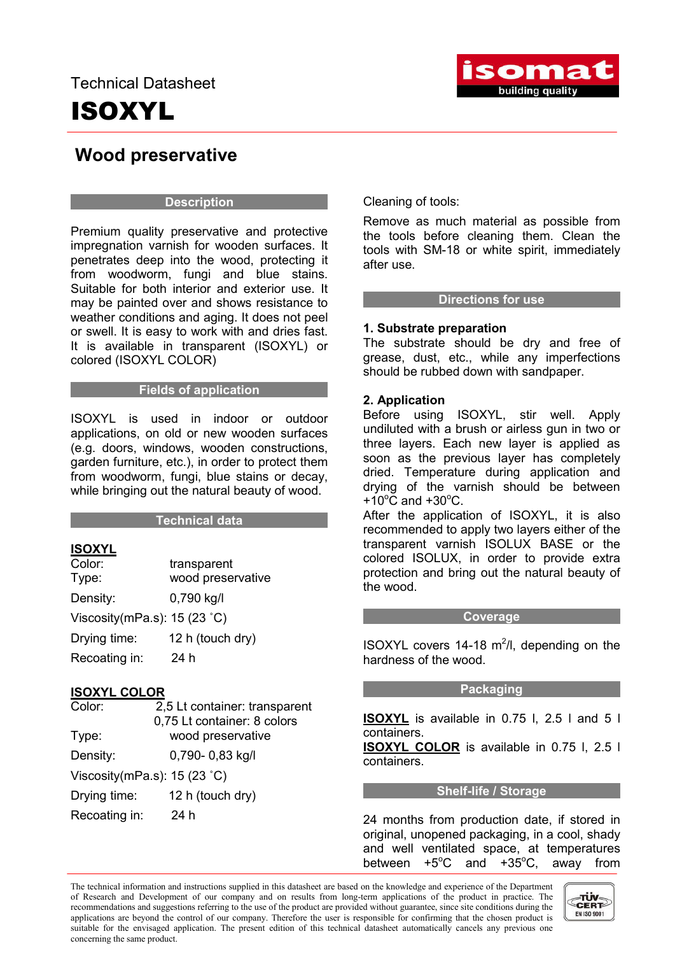# ISOXYL



### Wood preservative

#### **Description**

Premium quality preservative and protective impregnation varnish for wooden surfaces. It penetrates deep into the wood, protecting it from woodworm, fungi and blue stains. Suitable for both interior and exterior use. It may be painted over and shows resistance to weather conditions and aging. It does not peel or swell. It is easy to work with and dries fast. It is available in transparent (ISOXYL) or colored (ISOXYL COLOR)

#### Fields of application

ISOXYL is used in indoor or outdoor applications, on old or new wooden surfaces (e.g. doors, windows, wooden constructions, garden furniture, etc.), in order to protect them from woodworm, fungi, blue stains or decay, while bringing out the natural beauty of wood.

#### Technical data

#### ISOXYL

| Color:                                | transparent       |
|---------------------------------------|-------------------|
| Type:                                 | wood preservative |
| Density:                              | 0,790 kg/l        |
| Viscosity (mPa.s): $15(23 \degree C)$ |                   |
| Drying time:                          | 12 h (touch dry)  |
| Recoating in:                         | 24 h              |

#### ISOXYL COLOR

| Color:                                | 2,5 Lt container: transparent |
|---------------------------------------|-------------------------------|
|                                       | 0,75 Lt container: 8 colors   |
| Type:                                 | wood preservative             |
| Density:                              | 0,790-0,83 kg/l               |
| Viscosity (mPa.s): $15(23 \degree C)$ |                               |
| Drying time:                          | 12 h (touch dry)              |
| Recoating in:                         | 24 h                          |

Cleaning of tools:

Remove as much material as possible from the tools before cleaning them. Clean the tools with SM-18 or white spirit, immediately after use.

#### Directions for use

#### 1. Substrate preparation

The substrate should be dry and free of grease, dust, etc., while any imperfections should be rubbed down with sandpaper.

#### 2. Application

Before using ISOXYL, stir well. Apply undiluted with a brush or airless gun in two or three layers. Each new layer is applied as soon as the previous layer has completely dried. Temperature during application and drying of the varnish should be between  $+10^{\circ}$ C and  $+30^{\circ}$ C.

After the application of ISOXYL, it is also recommended to apply two layers either of the transparent varnish ISOLUX BASE or the colored ISOLUX, in order to provide extra protection and bring out the natural beauty of the wood.

#### Coverage

ISOXYL covers 14-18  $m^2/l$ , depending on the hardness of the wood.

#### Packaging

ISOXYL is available in 0.75 l, 2.5 l and 5 l containers.

**ISOXYL COLOR** is available in 0.75 l, 2.5 l containers.

#### Shelf-life / Storage

24 months from production date, if stored in original, unopened packaging, in a cool, shady and well ventilated space, at temperatures between  $+5^{\circ}$ C C and  $+35^{\circ}$ C, away from